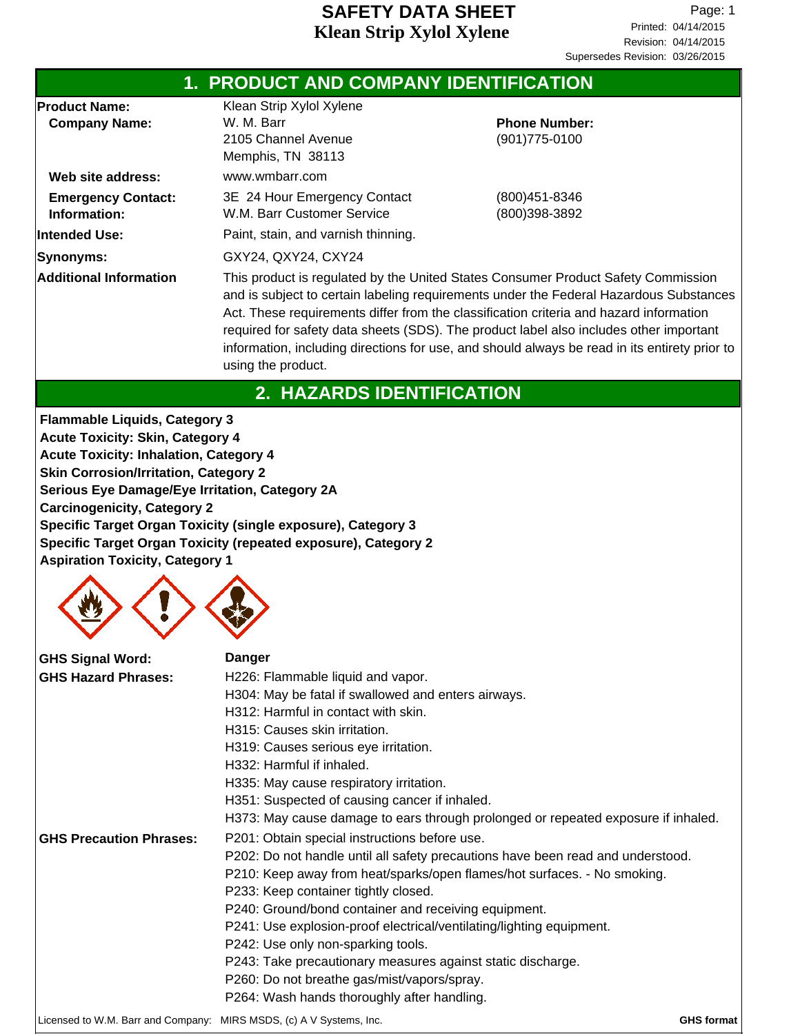|                                              | <b>1. PRODUCT AND COMPANY IDENTIFICATION</b>                                                                                                                                                                                                                                                                                                                                                                                                                                           |                                        |  |  |
|----------------------------------------------|----------------------------------------------------------------------------------------------------------------------------------------------------------------------------------------------------------------------------------------------------------------------------------------------------------------------------------------------------------------------------------------------------------------------------------------------------------------------------------------|----------------------------------------|--|--|
| <b>Product Name:</b><br><b>Company Name:</b> | Klean Strip Xylol Xylene<br>W. M. Barr<br>2105 Channel Avenue<br>Memphis, TN 38113                                                                                                                                                                                                                                                                                                                                                                                                     | <b>Phone Number:</b><br>(901) 775-0100 |  |  |
| Web site address:                            | www.wmbarr.com                                                                                                                                                                                                                                                                                                                                                                                                                                                                         |                                        |  |  |
| <b>Emergency Contact:</b><br>Information:    | 3E 24 Hour Emergency Contact<br>W.M. Barr Customer Service                                                                                                                                                                                                                                                                                                                                                                                                                             | (800)451-8346<br>(800)398-3892         |  |  |
| Intended Use:                                | Paint, stain, and varnish thinning.                                                                                                                                                                                                                                                                                                                                                                                                                                                    |                                        |  |  |
| Synonyms:                                    | GXY24, QXY24, CXY24                                                                                                                                                                                                                                                                                                                                                                                                                                                                    |                                        |  |  |
| <b>Additional Information</b>                | This product is regulated by the United States Consumer Product Safety Commission<br>and is subject to certain labeling requirements under the Federal Hazardous Substances<br>Act. These requirements differ from the classification criteria and hazard information<br>required for safety data sheets (SDS). The product label also includes other important<br>information, including directions for use, and should always be read in its entirety prior to<br>using the product. |                                        |  |  |
|                                              | 2. HAZARDS IDENTIFICATION                                                                                                                                                                                                                                                                                                                                                                                                                                                              |                                        |  |  |

**Flammable Liquids, Category 3 Acute Toxicity: Skin, Category 4 Acute Toxicity: Inhalation, Category 4 Skin Corrosion/Irritation, Category 2 Serious Eye Damage/Eye Irritation, Category 2A Carcinogenicity, Category 2 Specific Target Organ Toxicity (single exposure), Category 3 Specific Target Organ Toxicity (repeated exposure), Category 2 Aspiration Toxicity, Category 1**



| <b>GHS Signal Word:</b>                                             | Danger                                                                            |                   |  |  |  |
|---------------------------------------------------------------------|-----------------------------------------------------------------------------------|-------------------|--|--|--|
| <b>GHS Hazard Phrases:</b>                                          | H226: Flammable liquid and vapor.                                                 |                   |  |  |  |
|                                                                     | H304: May be fatal if swallowed and enters airways.                               |                   |  |  |  |
|                                                                     | H312: Harmful in contact with skin.                                               |                   |  |  |  |
|                                                                     | H315: Causes skin irritation.                                                     |                   |  |  |  |
|                                                                     | H319: Causes serious eye irritation.                                              |                   |  |  |  |
|                                                                     | H332: Harmful if inhaled.                                                         |                   |  |  |  |
|                                                                     | H335: May cause respiratory irritation.                                           |                   |  |  |  |
|                                                                     | H351: Suspected of causing cancer if inhaled.                                     |                   |  |  |  |
|                                                                     | H373: May cause damage to ears through prolonged or repeated exposure if inhaled. |                   |  |  |  |
| <b>GHS Precaution Phrases:</b>                                      | P201: Obtain special instructions before use.                                     |                   |  |  |  |
|                                                                     | P202: Do not handle until all safety precautions have been read and understood.   |                   |  |  |  |
|                                                                     | P210: Keep away from heat/sparks/open flames/hot surfaces. - No smoking.          |                   |  |  |  |
|                                                                     | P233: Keep container tightly closed.                                              |                   |  |  |  |
|                                                                     | P240: Ground/bond container and receiving equipment.                              |                   |  |  |  |
|                                                                     | P241: Use explosion-proof electrical/ventilating/lighting equipment.              |                   |  |  |  |
|                                                                     | P242: Use only non-sparking tools.                                                |                   |  |  |  |
|                                                                     | P243: Take precautionary measures against static discharge.                       |                   |  |  |  |
|                                                                     | P260: Do not breathe gas/mist/vapors/spray.                                       |                   |  |  |  |
|                                                                     | P264: Wash hands thoroughly after handling.                                       |                   |  |  |  |
| Licensed to W.M. Barr and Company: MIRS MSDS, (c) A V Systems, Inc. |                                                                                   | <b>GHS format</b> |  |  |  |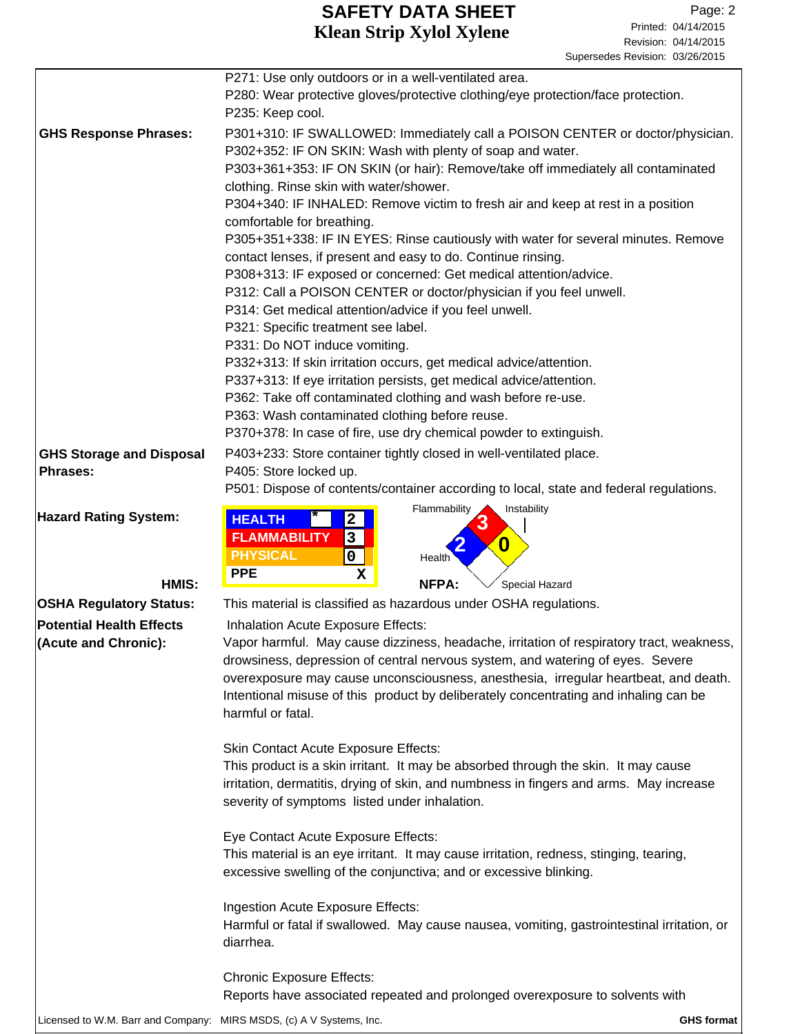|                                                                     | P271: Use only outdoors or in a well-ventilated area.<br>P280: Wear protective gloves/protective clothing/eye protection/face protection.<br>P235: Keep cool. |  |  |  |  |
|---------------------------------------------------------------------|---------------------------------------------------------------------------------------------------------------------------------------------------------------|--|--|--|--|
| <b>GHS Response Phrases:</b>                                        | P301+310: IF SWALLOWED: Immediately call a POISON CENTER or doctor/physician.<br>P302+352: IF ON SKIN: Wash with plenty of soap and water.                    |  |  |  |  |
|                                                                     | P303+361+353: IF ON SKIN (or hair): Remove/take off immediately all contaminated<br>clothing. Rinse skin with water/shower.                                   |  |  |  |  |
|                                                                     | P304+340: IF INHALED: Remove victim to fresh air and keep at rest in a position<br>comfortable for breathing.                                                 |  |  |  |  |
|                                                                     | P305+351+338: IF IN EYES: Rinse cautiously with water for several minutes. Remove                                                                             |  |  |  |  |
|                                                                     | contact lenses, if present and easy to do. Continue rinsing.                                                                                                  |  |  |  |  |
|                                                                     | P308+313: IF exposed or concerned: Get medical attention/advice.<br>P312: Call a POISON CENTER or doctor/physician if you feel unwell.                        |  |  |  |  |
|                                                                     | P314: Get medical attention/advice if you feel unwell.                                                                                                        |  |  |  |  |
|                                                                     | P321: Specific treatment see label.                                                                                                                           |  |  |  |  |
|                                                                     | P331: Do NOT induce vomiting.                                                                                                                                 |  |  |  |  |
|                                                                     | P332+313: If skin irritation occurs, get medical advice/attention.                                                                                            |  |  |  |  |
|                                                                     | P337+313: If eye irritation persists, get medical advice/attention.<br>P362: Take off contaminated clothing and wash before re-use.                           |  |  |  |  |
|                                                                     | P363: Wash contaminated clothing before reuse.                                                                                                                |  |  |  |  |
|                                                                     | P370+378: In case of fire, use dry chemical powder to extinguish.                                                                                             |  |  |  |  |
| <b>GHS Storage and Disposal</b>                                     | P403+233: Store container tightly closed in well-ventilated place.                                                                                            |  |  |  |  |
| <b>Phrases:</b>                                                     | P405: Store locked up.                                                                                                                                        |  |  |  |  |
|                                                                     | P501: Dispose of contents/container according to local, state and federal regulations.                                                                        |  |  |  |  |
| <b>Hazard Rating System:</b>                                        | Flammability<br>Instability<br><b>HEALTH</b><br>$\mathbf{2}$                                                                                                  |  |  |  |  |
|                                                                     | <b>FLAMMABILITY</b><br>3<br>$\boldsymbol{0}$                                                                                                                  |  |  |  |  |
|                                                                     | <b>PHYSICAL</b><br>0<br>Health                                                                                                                                |  |  |  |  |
| HMIS:                                                               | <b>PPE</b><br>х<br>NFPA:<br>Special Hazard                                                                                                                    |  |  |  |  |
| <b>OSHA Regulatory Status:</b>                                      | This material is classified as hazardous under OSHA regulations.                                                                                              |  |  |  |  |
| <b>Potential Health Effects</b>                                     | Inhalation Acute Exposure Effects:                                                                                                                            |  |  |  |  |
| (Acute and Chronic):                                                | Vapor harmful. May cause dizziness, headache, irritation of respiratory tract, weakness,                                                                      |  |  |  |  |
|                                                                     | drowsiness, depression of central nervous system, and watering of eyes. Severe                                                                                |  |  |  |  |
|                                                                     | overexposure may cause unconsciousness, anesthesia, irregular heartbeat, and death.                                                                           |  |  |  |  |
|                                                                     | Intentional misuse of this product by deliberately concentrating and inhaling can be<br>harmful or fatal.                                                     |  |  |  |  |
|                                                                     | <b>Skin Contact Acute Exposure Effects:</b>                                                                                                                   |  |  |  |  |
|                                                                     | This product is a skin irritant. It may be absorbed through the skin. It may cause                                                                            |  |  |  |  |
|                                                                     | irritation, dermatitis, drying of skin, and numbness in fingers and arms. May increase<br>severity of symptoms listed under inhalation.                       |  |  |  |  |
|                                                                     | Eye Contact Acute Exposure Effects:                                                                                                                           |  |  |  |  |
|                                                                     | This material is an eye irritant. It may cause irritation, redness, stinging, tearing,<br>excessive swelling of the conjunctiva; and or excessive blinking.   |  |  |  |  |
|                                                                     | Ingestion Acute Exposure Effects:                                                                                                                             |  |  |  |  |
|                                                                     | Harmful or fatal if swallowed. May cause nausea, vomiting, gastrointestinal irritation, or<br>diarrhea.                                                       |  |  |  |  |
|                                                                     | <b>Chronic Exposure Effects:</b>                                                                                                                              |  |  |  |  |
|                                                                     | Reports have associated repeated and prolonged overexposure to solvents with                                                                                  |  |  |  |  |
| Licensed to W.M. Barr and Company: MIRS MSDS, (c) A V Systems, Inc. | <b>GHS format</b>                                                                                                                                             |  |  |  |  |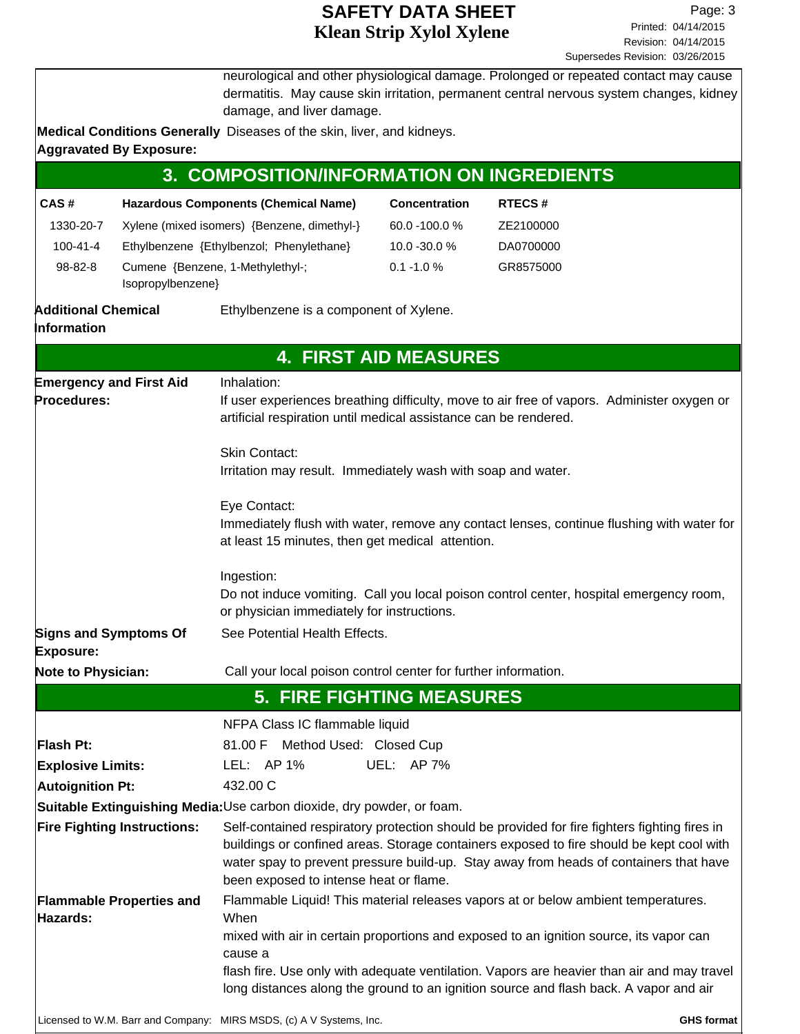|                                           |                                                       | damage, and liver damage.                                                            |                              | neurological and other physiological damage. Prolonged or repeated contact may cause<br>dermatitis. May cause skin irritation, permanent central nervous system changes, kidney                                                                                                                                                                                    |  |  |  |
|-------------------------------------------|-------------------------------------------------------|--------------------------------------------------------------------------------------|------------------------------|--------------------------------------------------------------------------------------------------------------------------------------------------------------------------------------------------------------------------------------------------------------------------------------------------------------------------------------------------------------------|--|--|--|
|                                           |                                                       | Medical Conditions Generally Diseases of the skin, liver, and kidneys.               |                              |                                                                                                                                                                                                                                                                                                                                                                    |  |  |  |
|                                           | <b>Aggravated By Exposure:</b>                        |                                                                                      |                              |                                                                                                                                                                                                                                                                                                                                                                    |  |  |  |
|                                           |                                                       | 3. COMPOSITION/INFORMATION ON INGREDIENTS                                            |                              |                                                                                                                                                                                                                                                                                                                                                                    |  |  |  |
| CAS#                                      |                                                       | <b>Hazardous Components (Chemical Name)</b>                                          | <b>Concentration</b>         | <b>RTECS#</b>                                                                                                                                                                                                                                                                                                                                                      |  |  |  |
| 1330-20-7                                 |                                                       | Xylene (mixed isomers) {Benzene, dimethyl-}                                          | 60.0 -100.0 %                | ZE2100000                                                                                                                                                                                                                                                                                                                                                          |  |  |  |
| $100 - 41 - 4$                            |                                                       | Ethylbenzene {Ethylbenzol; Phenylethane}                                             | 10.0 -30.0 %                 | DA0700000                                                                                                                                                                                                                                                                                                                                                          |  |  |  |
| 98-82-8                                   | Cumene {Benzene, 1-Methylethyl-;<br>Isopropylbenzene} |                                                                                      | $0.1 - 1.0 %$                | GR8575000                                                                                                                                                                                                                                                                                                                                                          |  |  |  |
| <b>Additional Chemical</b><br>Information |                                                       | Ethylbenzene is a component of Xylene.                                               |                              |                                                                                                                                                                                                                                                                                                                                                                    |  |  |  |
|                                           |                                                       |                                                                                      | <b>4. FIRST AID MEASURES</b> |                                                                                                                                                                                                                                                                                                                                                                    |  |  |  |
|                                           | <b>Emergency and First Aid</b>                        | Inhalation:                                                                          |                              |                                                                                                                                                                                                                                                                                                                                                                    |  |  |  |
| Procedures:                               |                                                       | artificial respiration until medical assistance can be rendered.                     |                              | If user experiences breathing difficulty, move to air free of vapors. Administer oxygen or                                                                                                                                                                                                                                                                         |  |  |  |
|                                           |                                                       | <b>Skin Contact:</b><br>Irritation may result. Immediately wash with soap and water. |                              |                                                                                                                                                                                                                                                                                                                                                                    |  |  |  |
|                                           |                                                       | Eye Contact:<br>at least 15 minutes, then get medical attention.                     |                              | Immediately flush with water, remove any contact lenses, continue flushing with water for                                                                                                                                                                                                                                                                          |  |  |  |
|                                           |                                                       | Ingestion:<br>or physician immediately for instructions.                             |                              | Do not induce vomiting. Call you local poison control center, hospital emergency room,                                                                                                                                                                                                                                                                             |  |  |  |
| <b>Signs and Symptoms Of</b><br>Exposure: |                                                       | See Potential Health Effects.                                                        |                              |                                                                                                                                                                                                                                                                                                                                                                    |  |  |  |
| Note to Physician:                        |                                                       | Call your local poison control center for further information.                       |                              |                                                                                                                                                                                                                                                                                                                                                                    |  |  |  |
|                                           |                                                       | <b>5. FIRE FIGHTING MEASURES</b>                                                     |                              |                                                                                                                                                                                                                                                                                                                                                                    |  |  |  |
|                                           |                                                       | NFPA Class IC flammable liquid                                                       |                              |                                                                                                                                                                                                                                                                                                                                                                    |  |  |  |
| Flash Pt:                                 |                                                       | Method Used: Closed Cup<br>81.00 F                                                   |                              |                                                                                                                                                                                                                                                                                                                                                                    |  |  |  |
| <b>Explosive Limits:</b>                  |                                                       | LEL: AP 1%                                                                           | UEL: AP 7%                   |                                                                                                                                                                                                                                                                                                                                                                    |  |  |  |
| <b>Autoignition Pt:</b>                   |                                                       | 432.00 C                                                                             |                              |                                                                                                                                                                                                                                                                                                                                                                    |  |  |  |
|                                           |                                                       | Suitable Extinguishing Media: Use carbon dioxide, dry powder, or foam.               |                              |                                                                                                                                                                                                                                                                                                                                                                    |  |  |  |
|                                           | <b>Fire Fighting Instructions:</b>                    | been exposed to intense heat or flame.                                               |                              | Self-contained respiratory protection should be provided for fire fighters fighting fires in<br>buildings or confined areas. Storage containers exposed to fire should be kept cool with<br>water spay to prevent pressure build-up. Stay away from heads of containers that have                                                                                  |  |  |  |
| Hazards:                                  | <b>Flammable Properties and</b>                       | When<br>cause a                                                                      |                              | Flammable Liquid! This material releases vapors at or below ambient temperatures.<br>mixed with air in certain proportions and exposed to an ignition source, its vapor can<br>flash fire. Use only with adequate ventilation. Vapors are heavier than air and may travel<br>long distances along the ground to an ignition source and flash back. A vapor and air |  |  |  |
|                                           |                                                       | Licensed to W.M. Barr and Company: MIRS MSDS, (c) A V Systems, Inc.                  |                              | <b>GHS format</b>                                                                                                                                                                                                                                                                                                                                                  |  |  |  |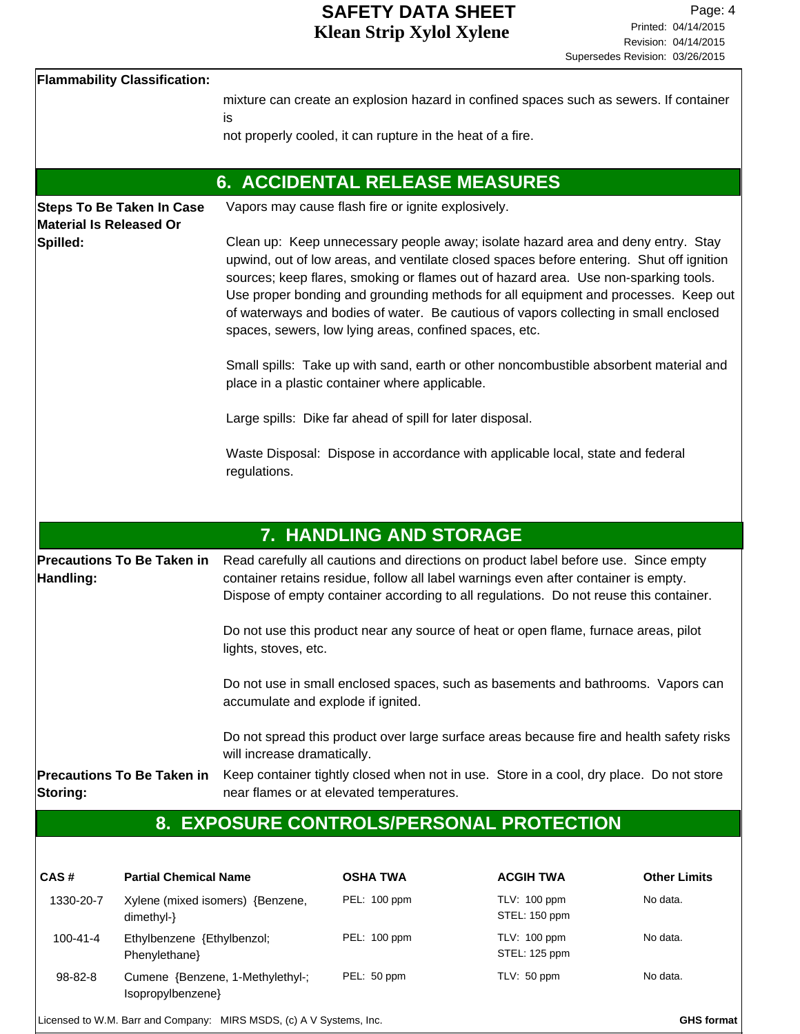| <b>Flammability Classification:</b>                         |                                                                                                                                                                                                                                                                                                                                                                                                                                                                                                                                                                                                      |
|-------------------------------------------------------------|------------------------------------------------------------------------------------------------------------------------------------------------------------------------------------------------------------------------------------------------------------------------------------------------------------------------------------------------------------------------------------------------------------------------------------------------------------------------------------------------------------------------------------------------------------------------------------------------------|
|                                                             | mixture can create an explosion hazard in confined spaces such as sewers. If container<br>is                                                                                                                                                                                                                                                                                                                                                                                                                                                                                                         |
|                                                             | not properly cooled, it can rupture in the heat of a fire.                                                                                                                                                                                                                                                                                                                                                                                                                                                                                                                                           |
|                                                             |                                                                                                                                                                                                                                                                                                                                                                                                                                                                                                                                                                                                      |
|                                                             | <b>6. ACCIDENTAL RELEASE MEASURES</b>                                                                                                                                                                                                                                                                                                                                                                                                                                                                                                                                                                |
| <b>Steps To Be Taken In Case</b><br>Material Is Released Or | Vapors may cause flash fire or ignite explosively.                                                                                                                                                                                                                                                                                                                                                                                                                                                                                                                                                   |
| Spilled:                                                    | Clean up: Keep unnecessary people away; isolate hazard area and deny entry. Stay<br>upwind, out of low areas, and ventilate closed spaces before entering. Shut off ignition<br>sources; keep flares, smoking or flames out of hazard area. Use non-sparking tools.<br>Use proper bonding and grounding methods for all equipment and processes. Keep out<br>of waterways and bodies of water. Be cautious of vapors collecting in small enclosed<br>spaces, sewers, low lying areas, confined spaces, etc.<br>Small spills: Take up with sand, earth or other noncombustible absorbent material and |
|                                                             | place in a plastic container where applicable.                                                                                                                                                                                                                                                                                                                                                                                                                                                                                                                                                       |
|                                                             | Large spills: Dike far ahead of spill for later disposal.                                                                                                                                                                                                                                                                                                                                                                                                                                                                                                                                            |
|                                                             | Waste Disposal: Dispose in accordance with applicable local, state and federal<br>regulations.                                                                                                                                                                                                                                                                                                                                                                                                                                                                                                       |
|                                                             | <b>7. HANDLING AND STORAGE</b>                                                                                                                                                                                                                                                                                                                                                                                                                                                                                                                                                                       |
| <b>Precautions To Be Taken in</b><br>Handling:              | Read carefully all cautions and directions on product label before use. Since empty<br>container retains residue, follow all label warnings even after container is empty.<br>Dispose of empty container according to all regulations. Do not reuse this container.<br>Do not use this product near any source of heat or open flame, furnace areas, pilot                                                                                                                                                                                                                                           |
|                                                             | lights, stoves, etc.                                                                                                                                                                                                                                                                                                                                                                                                                                                                                                                                                                                 |
|                                                             | Do not use in small enclosed spaces, such as basements and bathrooms. Vapors can<br>accumulate and explode if ignited.                                                                                                                                                                                                                                                                                                                                                                                                                                                                               |
|                                                             | Do not spread this product over large surface areas because fire and health safety risks<br>will increase dramatically.                                                                                                                                                                                                                                                                                                                                                                                                                                                                              |
| Precautions To Be Taken in<br>Storing:                      | Keep container tightly closed when not in use. Store in a cool, dry place. Do not store<br>near flames or at elevated temperatures.                                                                                                                                                                                                                                                                                                                                                                                                                                                                  |
|                                                             | 8. EXPOSURE CONTROLS/PERSONAL PROTECTION                                                                                                                                                                                                                                                                                                                                                                                                                                                                                                                                                             |
|                                                             |                                                                                                                                                                                                                                                                                                                                                                                                                                                                                                                                                                                                      |
|                                                             |                                                                                                                                                                                                                                                                                                                                                                                                                                                                                                                                                                                                      |

| CAS#           | <b>Partial Chemical Name</b>                          | <b>OSHA TWA</b> | <b>ACGIH TWA</b>                     | <b>Other Limits</b> |
|----------------|-------------------------------------------------------|-----------------|--------------------------------------|---------------------|
| 1330-20-7      | Xylene (mixed isomers) {Benzene,<br>$dimethyl-}$      | PEL: 100 ppm    | <b>TLV: 100 ppm</b><br>STEL: 150 ppm | No data.            |
| $100 - 41 - 4$ | Ethylbenzene {Ethylbenzol;<br>Phenylethane            | PEL: 100 ppm    | <b>TLV: 100 ppm</b><br>STEL: 125 ppm | No data.            |
| 98-82-8        | Cumene {Benzene, 1-Methylethyl-;<br>Isopropylbenzene} | PEL: 50 ppm     | TLV: 50 ppm                          | No data.            |

Licensed to W.M. Barr and Company: MIRS MSDS, (c) A V Systems, Inc. **GHS** format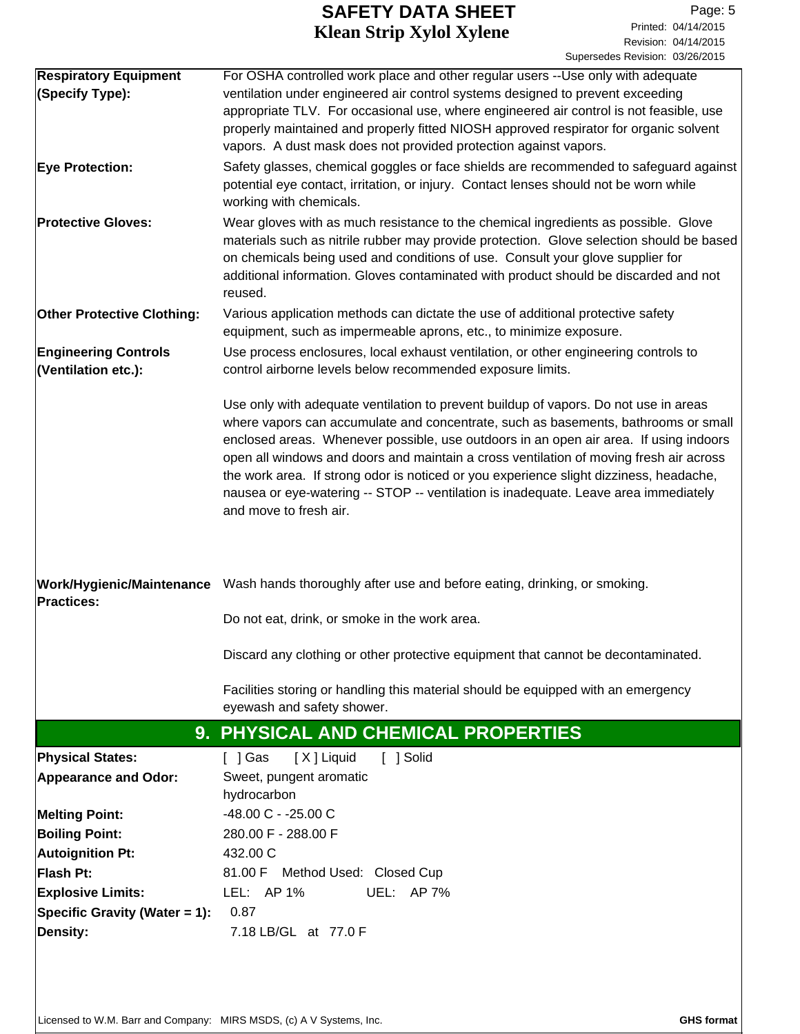| <b>Respiratory Equipment</b>      | For OSHA controlled work place and other regular users --Use only with adequate                                                                                                |
|-----------------------------------|--------------------------------------------------------------------------------------------------------------------------------------------------------------------------------|
| (Specify Type):                   | ventilation under engineered air control systems designed to prevent exceeding                                                                                                 |
|                                   | appropriate TLV. For occasional use, where engineered air control is not feasible, use                                                                                         |
|                                   | properly maintained and properly fitted NIOSH approved respirator for organic solvent<br>vapors. A dust mask does not provided protection against vapors.                      |
|                                   |                                                                                                                                                                                |
| <b>Eye Protection:</b>            | Safety glasses, chemical goggles or face shields are recommended to safeguard against<br>potential eye contact, irritation, or injury. Contact lenses should not be worn while |
|                                   | working with chemicals.                                                                                                                                                        |
| <b>Protective Gloves:</b>         | Wear gloves with as much resistance to the chemical ingredients as possible. Glove                                                                                             |
|                                   | materials such as nitrile rubber may provide protection. Glove selection should be based                                                                                       |
|                                   | on chemicals being used and conditions of use. Consult your glove supplier for                                                                                                 |
|                                   | additional information. Gloves contaminated with product should be discarded and not                                                                                           |
|                                   | reused.                                                                                                                                                                        |
| <b>Other Protective Clothing:</b> | Various application methods can dictate the use of additional protective safety                                                                                                |
|                                   | equipment, such as impermeable aprons, etc., to minimize exposure.                                                                                                             |
| <b>Engineering Controls</b>       | Use process enclosures, local exhaust ventilation, or other engineering controls to                                                                                            |
| (Ventilation etc.):               | control airborne levels below recommended exposure limits.                                                                                                                     |
|                                   | Use only with adequate ventilation to prevent buildup of vapors. Do not use in areas                                                                                           |
|                                   | where vapors can accumulate and concentrate, such as basements, bathrooms or small                                                                                             |
|                                   | enclosed areas. Whenever possible, use outdoors in an open air area. If using indoors                                                                                          |
|                                   | open all windows and doors and maintain a cross ventilation of moving fresh air across                                                                                         |
|                                   | the work area. If strong odor is noticed or you experience slight dizziness, headache,                                                                                         |
|                                   | nausea or eye-watering -- STOP -- ventilation is inadequate. Leave area immediately                                                                                            |
|                                   | and move to fresh air.                                                                                                                                                         |
|                                   |                                                                                                                                                                                |
|                                   |                                                                                                                                                                                |
|                                   | Work/Hygienic/Maintenance Wash hands thoroughly after use and before eating, drinking, or smoking.                                                                             |
| <b>Practices:</b>                 |                                                                                                                                                                                |
|                                   | Do not eat, drink, or smoke in the work area.                                                                                                                                  |
|                                   | Discard any clothing or other protective equipment that cannot be decontaminated.                                                                                              |
|                                   |                                                                                                                                                                                |
|                                   | Facilities storing or handling this material should be equipped with an emergency                                                                                              |
|                                   | eyewash and safety shower.                                                                                                                                                     |
|                                   | 9. PHYSICAL AND CHEMICAL PROPERTIES                                                                                                                                            |
| Physical States:                  | [ ] Solid<br>$[$ ] Gas<br>[X] Liquid                                                                                                                                           |
| <b>Appearance and Odor:</b>       | Sweet, pungent aromatic                                                                                                                                                        |
|                                   | hydrocarbon                                                                                                                                                                    |
| <b>Melting Point:</b>             | -48.00 C - -25.00 C                                                                                                                                                            |
| <b>Boiling Point:</b>             | 280.00 F - 288.00 F                                                                                                                                                            |
| <b>Autoignition Pt:</b>           | 432.00 C                                                                                                                                                                       |
| Flash Pt:                         | 81.00 F Method Used: Closed Cup                                                                                                                                                |
| <b>Explosive Limits:</b>          | LEL: AP 1%<br>UEL: AP 7%                                                                                                                                                       |
| Specific Gravity (Water = 1):     | 0.87                                                                                                                                                                           |
| <b>Density:</b>                   | 7.18 LB/GL at 77.0 F                                                                                                                                                           |
|                                   |                                                                                                                                                                                |
|                                   |                                                                                                                                                                                |
|                                   |                                                                                                                                                                                |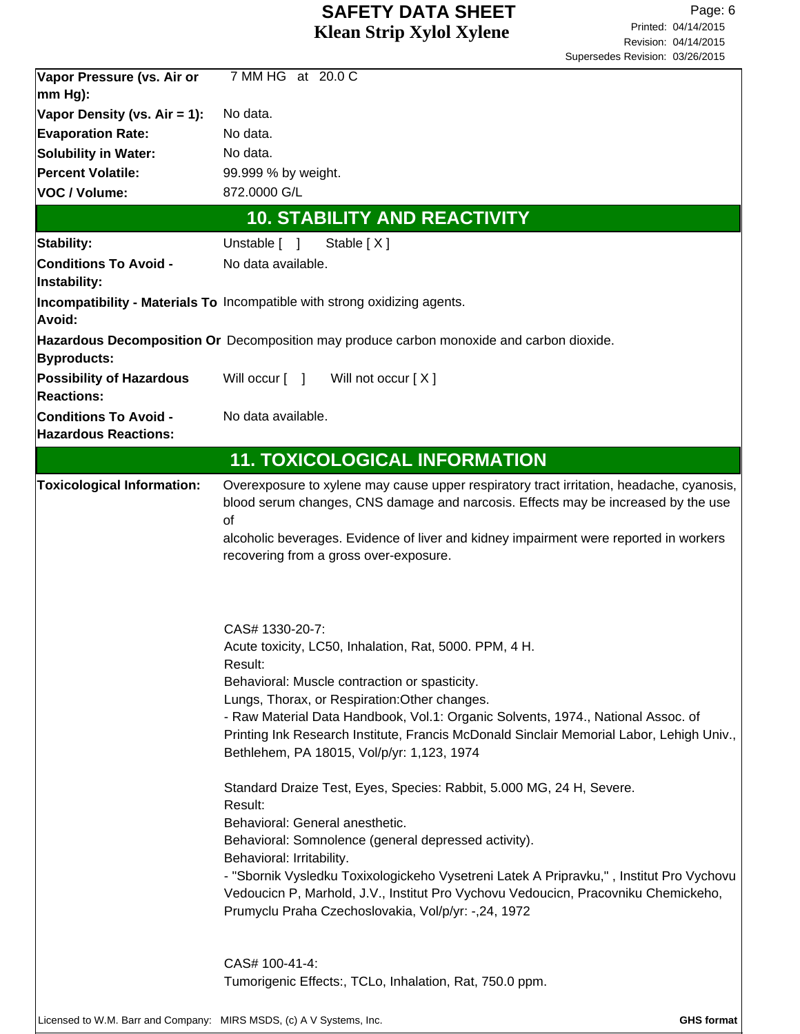| Vapor Pressure (vs. Air or                                          | 7 MM HG at 20.0 C                                                                                                                                                                                                                                                                                                                                                                                                                                                                                                                                                                                                                                                                                                                                                                                                                                                                         |
|---------------------------------------------------------------------|-------------------------------------------------------------------------------------------------------------------------------------------------------------------------------------------------------------------------------------------------------------------------------------------------------------------------------------------------------------------------------------------------------------------------------------------------------------------------------------------------------------------------------------------------------------------------------------------------------------------------------------------------------------------------------------------------------------------------------------------------------------------------------------------------------------------------------------------------------------------------------------------|
| mm Hg):                                                             |                                                                                                                                                                                                                                                                                                                                                                                                                                                                                                                                                                                                                                                                                                                                                                                                                                                                                           |
| Vapor Density (vs. Air = 1):                                        | No data.                                                                                                                                                                                                                                                                                                                                                                                                                                                                                                                                                                                                                                                                                                                                                                                                                                                                                  |
| <b>Evaporation Rate:</b>                                            | No data.                                                                                                                                                                                                                                                                                                                                                                                                                                                                                                                                                                                                                                                                                                                                                                                                                                                                                  |
| <b>Solubility in Water:</b>                                         | No data.                                                                                                                                                                                                                                                                                                                                                                                                                                                                                                                                                                                                                                                                                                                                                                                                                                                                                  |
| Percent Volatile:                                                   | 99.999 % by weight.                                                                                                                                                                                                                                                                                                                                                                                                                                                                                                                                                                                                                                                                                                                                                                                                                                                                       |
| VOC / Volume:                                                       | 872.0000 G/L                                                                                                                                                                                                                                                                                                                                                                                                                                                                                                                                                                                                                                                                                                                                                                                                                                                                              |
|                                                                     | <b>10. STABILITY AND REACTIVITY</b>                                                                                                                                                                                                                                                                                                                                                                                                                                                                                                                                                                                                                                                                                                                                                                                                                                                       |
| Stability:                                                          | Unstable [ ]<br>Stable $[X]$                                                                                                                                                                                                                                                                                                                                                                                                                                                                                                                                                                                                                                                                                                                                                                                                                                                              |
| <b>Conditions To Avoid -</b><br>Instability:                        | No data available.                                                                                                                                                                                                                                                                                                                                                                                                                                                                                                                                                                                                                                                                                                                                                                                                                                                                        |
| Avoid:                                                              | Incompatibility - Materials To Incompatible with strong oxidizing agents.                                                                                                                                                                                                                                                                                                                                                                                                                                                                                                                                                                                                                                                                                                                                                                                                                 |
| Byproducts:                                                         | Hazardous Decomposition Or Decomposition may produce carbon monoxide and carbon dioxide.                                                                                                                                                                                                                                                                                                                                                                                                                                                                                                                                                                                                                                                                                                                                                                                                  |
| <b>Possibility of Hazardous</b><br><b>Reactions:</b>                | Will occur [ ] Will not occur [X]                                                                                                                                                                                                                                                                                                                                                                                                                                                                                                                                                                                                                                                                                                                                                                                                                                                         |
| <b>Conditions To Avoid -</b><br><b>Hazardous Reactions:</b>         | No data available.                                                                                                                                                                                                                                                                                                                                                                                                                                                                                                                                                                                                                                                                                                                                                                                                                                                                        |
|                                                                     | <b>11. TOXICOLOGICAL INFORMATION</b>                                                                                                                                                                                                                                                                                                                                                                                                                                                                                                                                                                                                                                                                                                                                                                                                                                                      |
| <b>Toxicological Information:</b>                                   | Overexposure to xylene may cause upper respiratory tract irritation, headache, cyanosis,<br>blood serum changes, CNS damage and narcosis. Effects may be increased by the use<br>of<br>alcoholic beverages. Evidence of liver and kidney impairment were reported in workers<br>recovering from a gross over-exposure.                                                                                                                                                                                                                                                                                                                                                                                                                                                                                                                                                                    |
|                                                                     | CAS# 1330-20-7:<br>Acute toxicity, LC50, Inhalation, Rat, 5000. PPM, 4 H.<br>Result:<br>Behavioral: Muscle contraction or spasticity.<br>Lungs, Thorax, or Respiration: Other changes.<br>- Raw Material Data Handbook, Vol.1: Organic Solvents, 1974., National Assoc. of<br>Printing Ink Research Institute, Francis McDonald Sinclair Memorial Labor, Lehigh Univ.,<br>Bethlehem, PA 18015, Vol/p/yr: 1,123, 1974<br>Standard Draize Test, Eyes, Species: Rabbit, 5.000 MG, 24 H, Severe.<br>Result:<br>Behavioral: General anesthetic.<br>Behavioral: Somnolence (general depressed activity).<br>Behavioral: Irritability.<br>- "Sbornik Vysledku Toxixologickeho Vysetreni Latek A Pripravku,", Institut Pro Vychovu<br>Vedoucicn P, Marhold, J.V., Institut Pro Vychovu Vedoucicn, Pracovniku Chemickeho,<br>Prumyclu Praha Czechoslovakia, Vol/p/yr: -,24, 1972<br>CAS# 100-41-4: |
|                                                                     | Tumorigenic Effects:, TCLo, Inhalation, Rat, 750.0 ppm.                                                                                                                                                                                                                                                                                                                                                                                                                                                                                                                                                                                                                                                                                                                                                                                                                                   |
| Licensed to W.M. Barr and Company: MIRS MSDS, (c) A V Systems, Inc. | <b>GHS format</b>                                                                                                                                                                                                                                                                                                                                                                                                                                                                                                                                                                                                                                                                                                                                                                                                                                                                         |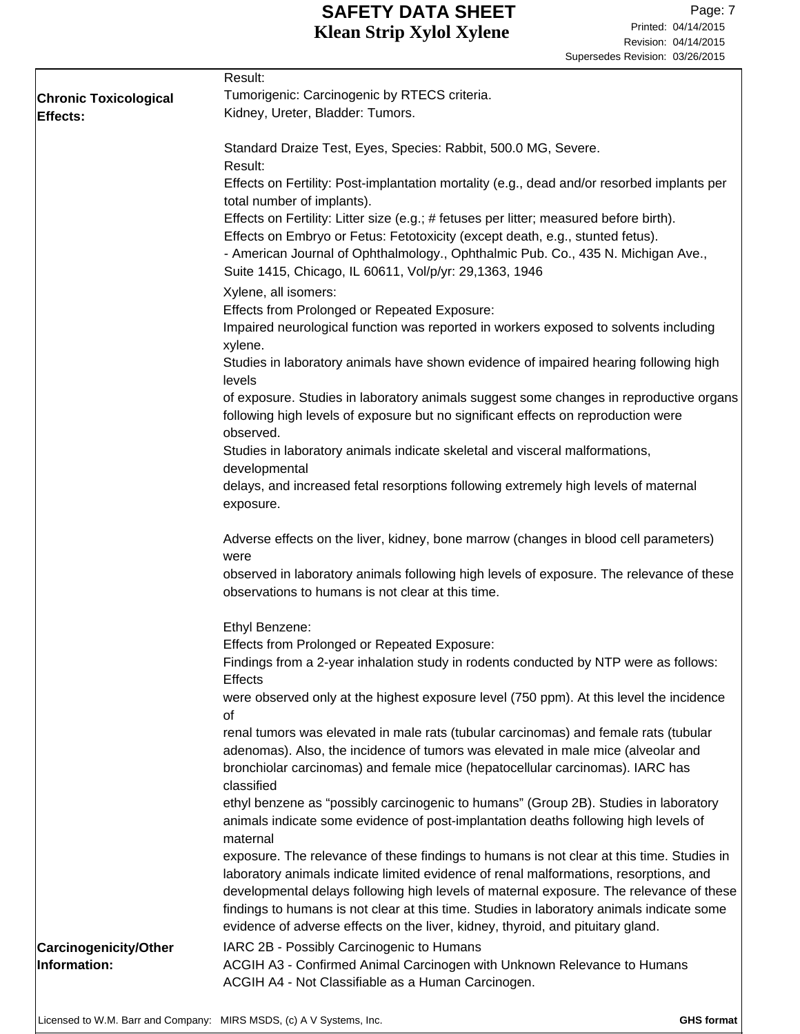|                                       | Result:                                                                                                                                                                                                                                                                                                                                                                                                                                                       |
|---------------------------------------|---------------------------------------------------------------------------------------------------------------------------------------------------------------------------------------------------------------------------------------------------------------------------------------------------------------------------------------------------------------------------------------------------------------------------------------------------------------|
| <b>Chronic Toxicological</b>          | Tumorigenic: Carcinogenic by RTECS criteria.                                                                                                                                                                                                                                                                                                                                                                                                                  |
| Effects:                              | Kidney, Ureter, Bladder: Tumors.                                                                                                                                                                                                                                                                                                                                                                                                                              |
|                                       | Standard Draize Test, Eyes, Species: Rabbit, 500.0 MG, Severe.<br>Result:                                                                                                                                                                                                                                                                                                                                                                                     |
|                                       | Effects on Fertility: Post-implantation mortality (e.g., dead and/or resorbed implants per<br>total number of implants).                                                                                                                                                                                                                                                                                                                                      |
|                                       | Effects on Fertility: Litter size (e.g.; # fetuses per litter; measured before birth).<br>Effects on Embryo or Fetus: Fetotoxicity (except death, e.g., stunted fetus).<br>- American Journal of Ophthalmology., Ophthalmic Pub. Co., 435 N. Michigan Ave.,<br>Suite 1415, Chicago, IL 60611, Vol/p/yr: 29,1363, 1946                                                                                                                                         |
|                                       | Xylene, all isomers:                                                                                                                                                                                                                                                                                                                                                                                                                                          |
|                                       | <b>Effects from Prolonged or Repeated Exposure:</b>                                                                                                                                                                                                                                                                                                                                                                                                           |
|                                       | Impaired neurological function was reported in workers exposed to solvents including<br>xylene.                                                                                                                                                                                                                                                                                                                                                               |
|                                       | Studies in laboratory animals have shown evidence of impaired hearing following high<br>levels                                                                                                                                                                                                                                                                                                                                                                |
|                                       | of exposure. Studies in laboratory animals suggest some changes in reproductive organs<br>following high levels of exposure but no significant effects on reproduction were<br>observed.                                                                                                                                                                                                                                                                      |
|                                       | Studies in laboratory animals indicate skeletal and visceral malformations,<br>developmental                                                                                                                                                                                                                                                                                                                                                                  |
|                                       | delays, and increased fetal resorptions following extremely high levels of maternal<br>exposure.                                                                                                                                                                                                                                                                                                                                                              |
|                                       | Adverse effects on the liver, kidney, bone marrow (changes in blood cell parameters)<br>were                                                                                                                                                                                                                                                                                                                                                                  |
|                                       | observed in laboratory animals following high levels of exposure. The relevance of these<br>observations to humans is not clear at this time.                                                                                                                                                                                                                                                                                                                 |
|                                       | Ethyl Benzene:                                                                                                                                                                                                                                                                                                                                                                                                                                                |
|                                       | <b>Effects from Prolonged or Repeated Exposure:</b>                                                                                                                                                                                                                                                                                                                                                                                                           |
|                                       | Findings from a 2-year inhalation study in rodents conducted by NTP were as follows:<br><b>Effects</b>                                                                                                                                                                                                                                                                                                                                                        |
|                                       | were observed only at the highest exposure level (750 ppm). At this level the incidence<br>οf                                                                                                                                                                                                                                                                                                                                                                 |
|                                       | renal tumors was elevated in male rats (tubular carcinomas) and female rats (tubular<br>adenomas). Also, the incidence of tumors was elevated in male mice (alveolar and<br>bronchiolar carcinomas) and female mice (hepatocellular carcinomas). IARC has<br>classified                                                                                                                                                                                       |
|                                       | ethyl benzene as "possibly carcinogenic to humans" (Group 2B). Studies in laboratory<br>animals indicate some evidence of post-implantation deaths following high levels of<br>maternal                                                                                                                                                                                                                                                                       |
|                                       | exposure. The relevance of these findings to humans is not clear at this time. Studies in<br>laboratory animals indicate limited evidence of renal malformations, resorptions, and<br>developmental delays following high levels of maternal exposure. The relevance of these<br>findings to humans is not clear at this time. Studies in laboratory animals indicate some<br>evidence of adverse effects on the liver, kidney, thyroid, and pituitary gland. |
| Carcinogenicity/Other<br>Information: | IARC 2B - Possibly Carcinogenic to Humans<br>ACGIH A3 - Confirmed Animal Carcinogen with Unknown Relevance to Humans<br>ACGIH A4 - Not Classifiable as a Human Carcinogen.                                                                                                                                                                                                                                                                                    |
|                                       |                                                                                                                                                                                                                                                                                                                                                                                                                                                               |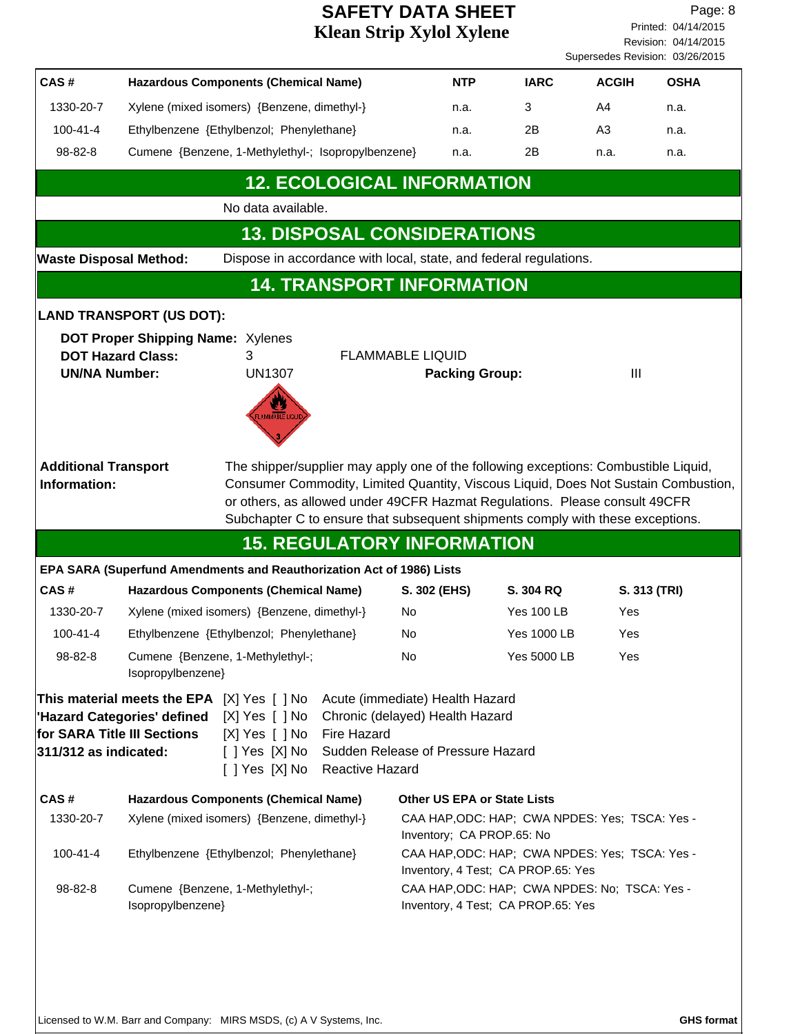Revision: 04/14/2015 Printed: 04/14/2015 Page: 8 Supersedes Revision: 03/26/2015

|                                                                                                                                                                                                                                                                                                                                                                         |                                                                       |                                                                                                                                                                                                                                                                                                                                           |                                    |                                                                                      |                                                                                     |                    |                | ouperseaes individual. Us/20/2019 |
|-------------------------------------------------------------------------------------------------------------------------------------------------------------------------------------------------------------------------------------------------------------------------------------------------------------------------------------------------------------------------|-----------------------------------------------------------------------|-------------------------------------------------------------------------------------------------------------------------------------------------------------------------------------------------------------------------------------------------------------------------------------------------------------------------------------------|------------------------------------|--------------------------------------------------------------------------------------|-------------------------------------------------------------------------------------|--------------------|----------------|-----------------------------------|
| CAS#                                                                                                                                                                                                                                                                                                                                                                    |                                                                       | <b>Hazardous Components (Chemical Name)</b>                                                                                                                                                                                                                                                                                               |                                    | <b>NTP</b>                                                                           |                                                                                     | <b>IARC</b>        | <b>ACGIH</b>   | <b>OSHA</b>                       |
| 1330-20-7                                                                                                                                                                                                                                                                                                                                                               | Xylene (mixed isomers) {Benzene, dimethyl-}                           |                                                                                                                                                                                                                                                                                                                                           |                                    | n.a.                                                                                 | 3                                                                                   |                    | A <sub>4</sub> | n.a.                              |
| $100 - 41 - 4$                                                                                                                                                                                                                                                                                                                                                          |                                                                       | Ethylbenzene {Ethylbenzol; Phenylethane}                                                                                                                                                                                                                                                                                                  |                                    | n.a.                                                                                 | 2Β                                                                                  |                    | A3             | n.a.                              |
| 98-82-8                                                                                                                                                                                                                                                                                                                                                                 |                                                                       | Cumene {Benzene, 1-Methylethyl-; Isopropylbenzene}                                                                                                                                                                                                                                                                                        |                                    | n.a.                                                                                 | 2Β                                                                                  |                    | n.a.           | n.a.                              |
|                                                                                                                                                                                                                                                                                                                                                                         |                                                                       |                                                                                                                                                                                                                                                                                                                                           | <b>12. ECOLOGICAL INFORMATION</b>  |                                                                                      |                                                                                     |                    |                |                                   |
|                                                                                                                                                                                                                                                                                                                                                                         |                                                                       | No data available.                                                                                                                                                                                                                                                                                                                        |                                    |                                                                                      |                                                                                     |                    |                |                                   |
|                                                                                                                                                                                                                                                                                                                                                                         |                                                                       |                                                                                                                                                                                                                                                                                                                                           | <b>13. DISPOSAL CONSIDERATIONS</b> |                                                                                      |                                                                                     |                    |                |                                   |
| <b>Waste Disposal Method:</b>                                                                                                                                                                                                                                                                                                                                           |                                                                       | Dispose in accordance with local, state, and federal regulations.                                                                                                                                                                                                                                                                         |                                    |                                                                                      |                                                                                     |                    |                |                                   |
|                                                                                                                                                                                                                                                                                                                                                                         |                                                                       |                                                                                                                                                                                                                                                                                                                                           | <b>14. TRANSPORT INFORMATION</b>   |                                                                                      |                                                                                     |                    |                |                                   |
|                                                                                                                                                                                                                                                                                                                                                                         | <b>LAND TRANSPORT (US DOT):</b>                                       |                                                                                                                                                                                                                                                                                                                                           |                                    |                                                                                      |                                                                                     |                    |                |                                   |
| <b>UN/NA Number:</b>                                                                                                                                                                                                                                                                                                                                                    | <b>DOT Proper Shipping Name: Xylenes</b><br><b>DOT Hazard Class:</b>  | 3<br><b>UN1307</b><br>LAMMABLE LIQUI                                                                                                                                                                                                                                                                                                      |                                    | <b>FLAMMABLE LIQUID</b>                                                              | <b>Packing Group:</b>                                                               |                    | Ш              |                                   |
| <b>Additional Transport</b><br>Information:                                                                                                                                                                                                                                                                                                                             |                                                                       | The shipper/supplier may apply one of the following exceptions: Combustible Liquid,<br>Consumer Commodity, Limited Quantity, Viscous Liquid, Does Not Sustain Combustion,<br>or others, as allowed under 49CFR Hazmat Regulations. Please consult 49CFR<br>Subchapter C to ensure that subsequent shipments comply with these exceptions. | <b>15. REGULATORY INFORMATION</b>  |                                                                                      |                                                                                     |                    |                |                                   |
|                                                                                                                                                                                                                                                                                                                                                                         | EPA SARA (Superfund Amendments and Reauthorization Act of 1986) Lists |                                                                                                                                                                                                                                                                                                                                           |                                    |                                                                                      |                                                                                     |                    |                |                                   |
| CAS#                                                                                                                                                                                                                                                                                                                                                                    |                                                                       | <b>Hazardous Components (Chemical Name)</b>                                                                                                                                                                                                                                                                                               |                                    | S. 302 (EHS)                                                                         | S. 304 RQ                                                                           |                    |                | S. 313 (TRI)                      |
| 1330-20-7                                                                                                                                                                                                                                                                                                                                                               |                                                                       | Xylene (mixed isomers) {Benzene, dimethyl-}                                                                                                                                                                                                                                                                                               |                                    | No                                                                                   |                                                                                     | <b>Yes 100 LB</b>  | Yes            |                                   |
| $100 - 41 - 4$                                                                                                                                                                                                                                                                                                                                                          |                                                                       | Ethylbenzene {Ethylbenzol; Phenylethane}                                                                                                                                                                                                                                                                                                  |                                    | No                                                                                   |                                                                                     | <b>Yes 1000 LB</b> | Yes            |                                   |
| 98-82-8                                                                                                                                                                                                                                                                                                                                                                 | Isopropylbenzene}                                                     | Cumene {Benzene, 1-Methylethyl-;                                                                                                                                                                                                                                                                                                          |                                    | No                                                                                   |                                                                                     | Yes 5000 LB        | Yes            |                                   |
| This material meets the EPA [X] Yes [ ] No<br>Acute (immediate) Health Hazard<br>$[X]$ Yes $[ \ ]$ No<br>Chronic (delayed) Health Hazard<br>'Hazard Categories' defined<br><b>Fire Hazard</b><br>for SARA Title III Sections<br>[X] Yes [ ] No<br>Sudden Release of Pressure Hazard<br>311/312 as indicated:<br>$[$ ] Yes $[X]$ No<br>[ ] Yes [X] No<br>Reactive Hazard |                                                                       |                                                                                                                                                                                                                                                                                                                                           |                                    |                                                                                      |                                                                                     |                    |                |                                   |
| CAS#                                                                                                                                                                                                                                                                                                                                                                    |                                                                       | <b>Hazardous Components (Chemical Name)</b>                                                                                                                                                                                                                                                                                               |                                    |                                                                                      | <b>Other US EPA or State Lists</b>                                                  |                    |                |                                   |
| 1330-20-7                                                                                                                                                                                                                                                                                                                                                               |                                                                       | Xylene (mixed isomers) {Benzene, dimethyl-}                                                                                                                                                                                                                                                                                               |                                    | CAA HAP, ODC: HAP; CWA NPDES: Yes; TSCA: Yes -<br>Inventory; CA PROP.65: No          |                                                                                     |                    |                |                                   |
| $100 - 41 - 4$                                                                                                                                                                                                                                                                                                                                                          |                                                                       | Ethylbenzene {Ethylbenzol; Phenylethane}                                                                                                                                                                                                                                                                                                  |                                    | CAA HAP, ODC: HAP; CWA NPDES: Yes; TSCA: Yes -<br>Inventory, 4 Test; CA PROP.65: Yes |                                                                                     |                    |                |                                   |
| 98-82-8                                                                                                                                                                                                                                                                                                                                                                 | Isopropylbenzene}                                                     | Cumene {Benzene, 1-Methylethyl-;                                                                                                                                                                                                                                                                                                          |                                    |                                                                                      | CAA HAP, ODC: HAP; CWA NPDES: No; TSCA: Yes -<br>Inventory, 4 Test; CA PROP.65: Yes |                    |                |                                   |
|                                                                                                                                                                                                                                                                                                                                                                         |                                                                       |                                                                                                                                                                                                                                                                                                                                           |                                    |                                                                                      |                                                                                     |                    |                |                                   |